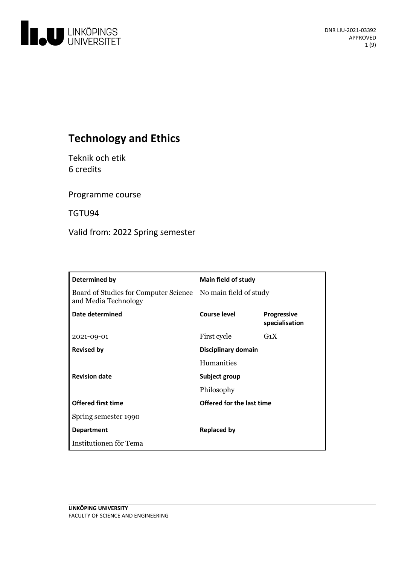

# **Technology and Ethics**

Teknik och etik 6 credits

Programme course

TGTU94

Valid from: 2022 Spring semester

| Determined by                                                                        | Main field of study       |                                      |
|--------------------------------------------------------------------------------------|---------------------------|--------------------------------------|
| Board of Studies for Computer Science No main field of study<br>and Media Technology |                           |                                      |
| Date determined                                                                      | Course level              | <b>Progressive</b><br>specialisation |
| 2021-09-01                                                                           | First cycle               | $G_1X$                               |
| <b>Revised by</b>                                                                    | Disciplinary domain       |                                      |
|                                                                                      | Humanities                |                                      |
| <b>Revision date</b>                                                                 | Subject group             |                                      |
|                                                                                      | Philosophy                |                                      |
| <b>Offered first time</b>                                                            | Offered for the last time |                                      |
| Spring semester 1990                                                                 |                           |                                      |
| <b>Department</b>                                                                    | <b>Replaced by</b>        |                                      |
| Institutionen för Tema                                                               |                           |                                      |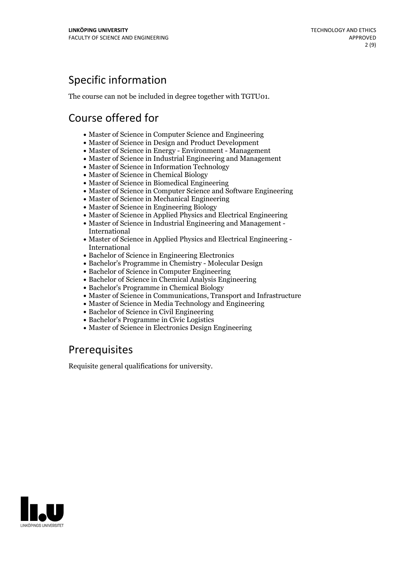# Specific information

The course can not be included in degree together with TGTU01.

# Course offered for

- Master of Science in Computer Science and Engineering
- Master of Science in Design and Product Development
- Master of Science in Energy Environment Management
- Master of Science in Industrial Engineering and Management
- Master of Science in Information Technology
- Master of Science in Chemical Biology
- Master of Science in Biomedical Engineering
- Master of Science in Computer Science and Software Engineering
- Master of Science in Mechanical Engineering
- Master of Science in Engineering Biology
- Master of Science in Applied Physics and Electrical Engineering
- Master of Science in Industrial Engineering and Management International
- Master of Science in Applied Physics and Electrical Engineering International
- Bachelor of Science in Engineering Electronics
- Bachelor's Programme in Chemistry Molecular Design
- Bachelor of Science in Computer Engineering
- Bachelor of Science in Chemical Analysis Engineering
- Bachelor's Programme in Chemical Biology
- Master of Science in Communications, Transport and Infrastructure
- Master of Science in Media Technology and Engineering
- Bachelor of Science in Civil Engineering
- Bachelor's Programme in Civic Logistics
- Master of Science in Electronics Design Engineering

## Prerequisites

Requisite general qualifications for university.

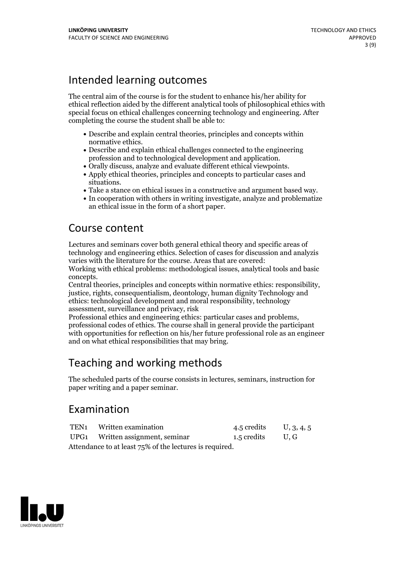## Intended learning outcomes

The central aim of the course is for the student to enhance his/her ability for ethical reflection aided by the different analytical tools of philosophical ethics with special focus on ethical challenges concerning technology and engineering. After completing the course the student shall be able to:

- Describe and explain central theories, principles and concepts within
- normative ethics.<br>• Describe and explain ethical challenges connected to the engineering profession and to technological development and application.<br>• Orally discuss, analyze and evaluate different ethical viewpoints.<br>• Apply ethical theories, principles and concepts to particular cases and
- 
- 
- situations.<br>• Take a stance on ethical issues in a constructive and argument based way.<br>• In cooperation with others in writing investigate, analyze and problematize
- an ethical issue in the form of a short paper.

## Course content

Lectures and seminars cover both general ethical theory and specific areas of technology and engineering ethics. Selection of cases for discussion and analyzis varies with the literature for the course. Areas that are covered:

Working with ethical problems: methodological issues, analytical tools and basic

concepts. Central theories, principles and concepts within normative ethics: responsibility, justice, rights, consequentialism, deontology, human dignity Technology and ethics: technological development and moral responsibility, technology assessment, surveillance and privacy, risk

Professional ethics and engineering ethics: particular cases and problems, professional codes of ethics. The course shall in general provide the participant with opportunities for reflection on his/her future professional role as an engineer and on what ethical responsibilities that may bring.

# Teaching and working methods

The scheduled parts of the course consists in lectures, seminars, instruction for paper writing and a paper seminar.

## Examination

|                                                         | TEN1 Written examination         | 4.5 credits U, 3, 4, 5 |  |  |  |  |
|---------------------------------------------------------|----------------------------------|------------------------|--|--|--|--|
|                                                         | UPG1 Written assignment, seminar | 1.5 credits U, G       |  |  |  |  |
| Attendance to at least 75% of the lectures is required. |                                  |                        |  |  |  |  |

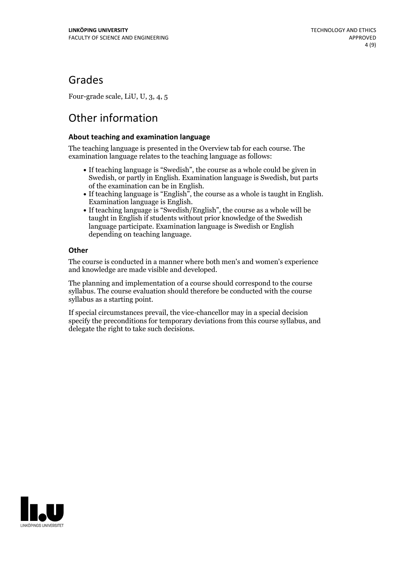## Grades

Four-grade scale, LiU, U, 3, 4, 5

# Other information

### **About teaching and examination language**

The teaching language is presented in the Overview tab for each course. The examination language relates to the teaching language as follows:

- If teaching language is "Swedish", the course as a whole could be given in Swedish, or partly in English. Examination language is Swedish, but parts
- of the examination can be in English. If teaching language is "English", the course as <sup>a</sup> whole is taught in English. Examination language is English. If teaching language is "Swedish/English", the course as <sup>a</sup> whole will be
- taught in English if students without prior knowledge of the Swedish language participate. Examination language is Swedish or English depending on teaching language.

### **Other**

The course is conducted in a manner where both men's and women's experience and knowledge are made visible and developed.

The planning and implementation of a course should correspond to the course syllabus. The course evaluation should therefore be conducted with the course syllabus as a starting point.

If special circumstances prevail, the vice-chancellor may in a special decision specify the preconditions for temporary deviations from this course syllabus, and delegate the right to take such decisions.

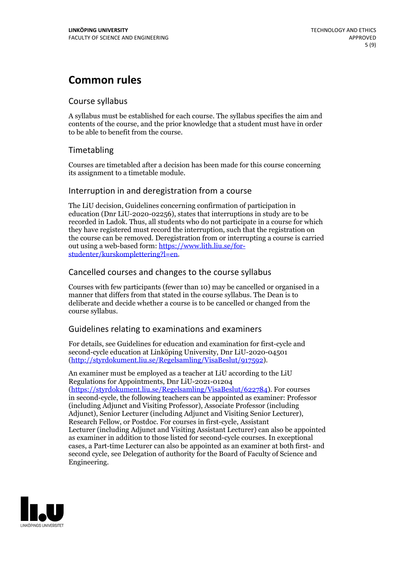# **Common rules**

## Course syllabus

A syllabus must be established for each course. The syllabus specifies the aim and contents of the course, and the prior knowledge that a student must have in order to be able to benefit from the course.

## Timetabling

Courses are timetabled after a decision has been made for this course concerning its assignment to a timetable module.

### Interruption in and deregistration from a course

The LiU decision, Guidelines concerning confirmation of participation in education (Dnr LiU-2020-02256), states that interruptions in study are to be recorded in Ladok. Thus, all students who do not participate in a course for which they have registered must record the interruption, such that the registration on the course can be removed. Deregistration from or interrupting a course is carried out using <sup>a</sup> web-based form: https://www.lith.liu.se/for- [studenter/kurskomplettering?l=en.](https://www.lith.liu.se/for-studenter/kurskomplettering?l=en)

## Cancelled courses and changes to the course syllabus

Courses with few participants (fewer than 10) may be cancelled or organised in a manner that differs from that stated in the course syllabus. The Dean is to deliberate and decide whether a course is to be cancelled or changed from the course syllabus.

## Guidelines relating to examinations and examiners

For details, see Guidelines for education and examination for first-cycle and second-cycle education at Linköping University, Dnr LiU-2020-04501 [\(http://styrdokument.liu.se/Regelsamling/VisaBeslut/917592\)](http://styrdokument.liu.se/Regelsamling/VisaBeslut/917592).

An examiner must be employed as a teacher at LiU according to the LiU Regulations for Appointments, Dnr LiU-2021-01204 [\(https://styrdokument.liu.se/Regelsamling/VisaBeslut/622784](https://styrdokument.liu.se/Regelsamling/VisaBeslut/622784)). For courses in second-cycle, the following teachers can be appointed as examiner: Professor (including Adjunct and Visiting Professor), Associate Professor (including Adjunct), Senior Lecturer (including Adjunct and Visiting Senior Lecturer), Research Fellow, or Postdoc. For courses in first-cycle, Assistant Lecturer (including Adjunct and Visiting Assistant Lecturer) can also be appointed as examiner in addition to those listed for second-cycle courses. In exceptional cases, a Part-time Lecturer can also be appointed as an examiner at both first- and second cycle, see Delegation of authority for the Board of Faculty of Science and Engineering.

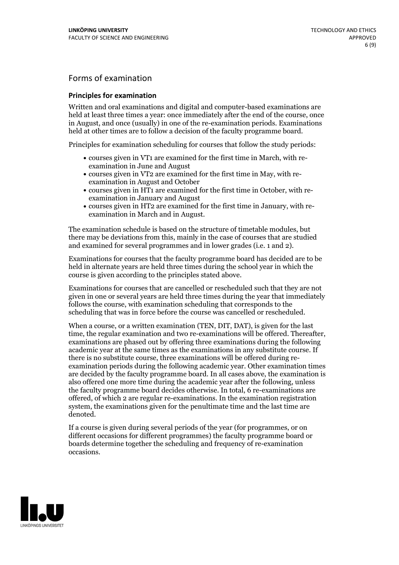## Forms of examination

#### **Principles for examination**

Written and oral examinations and digital and computer-based examinations are held at least three times a year: once immediately after the end of the course, once in August, and once (usually) in one of the re-examination periods. Examinations held at other times are to follow a decision of the faculty programme board.

Principles for examination scheduling for courses that follow the study periods:

- courses given in VT1 are examined for the first time in March, with re-examination in June and August
- courses given in VT2 are examined for the first time in May, with re-examination in August and October
- courses given in HT1 are examined for the first time in October, with re-examination in January and August
- courses given in HT2 are examined for the first time in January, with re-examination in March and in August.

The examination schedule is based on the structure of timetable modules, but there may be deviations from this, mainly in the case of courses that are studied and examined for several programmes and in lower grades (i.e. 1 and 2).

Examinations for courses that the faculty programme board has decided are to be held in alternate years are held three times during the school year in which the course is given according to the principles stated above.

Examinations for courses that are cancelled orrescheduled such that they are not given in one or several years are held three times during the year that immediately follows the course, with examination scheduling that corresponds to the scheduling that was in force before the course was cancelled or rescheduled.

When a course, or a written examination (TEN, DIT, DAT), is given for the last time, the regular examination and two re-examinations will be offered. Thereafter, examinations are phased out by offering three examinations during the following academic year at the same times as the examinations in any substitute course. If there is no substitute course, three examinations will be offered during re- examination periods during the following academic year. Other examination times are decided by the faculty programme board. In all cases above, the examination is also offered one more time during the academic year after the following, unless the faculty programme board decides otherwise. In total, 6 re-examinations are offered, of which 2 are regular re-examinations. In the examination registration system, the examinations given for the penultimate time and the last time are denoted.

If a course is given during several periods of the year (for programmes, or on different occasions for different programmes) the faculty programme board or boards determine together the scheduling and frequency of re-examination occasions.

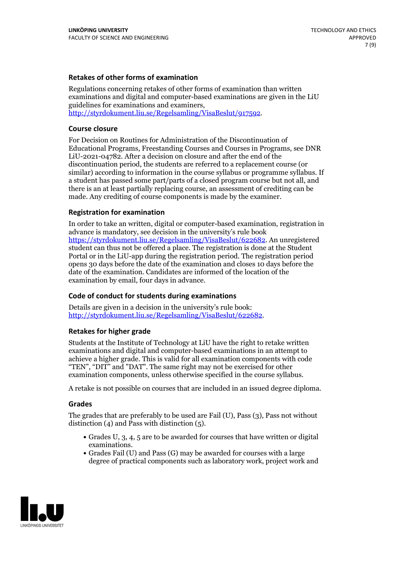### **Retakes of other forms of examination**

Regulations concerning retakes of other forms of examination than written examinations and digital and computer-based examinations are given in the LiU guidelines for examinations and examiners, [http://styrdokument.liu.se/Regelsamling/VisaBeslut/917592.](http://styrdokument.liu.se/Regelsamling/VisaBeslut/917592)

#### **Course closure**

For Decision on Routines for Administration of the Discontinuation of Educational Programs, Freestanding Courses and Courses in Programs, see DNR LiU-2021-04782. After a decision on closure and after the end of the discontinuation period, the students are referred to a replacement course (or similar) according to information in the course syllabus or programme syllabus. If a student has passed some part/parts of a closed program course but not all, and there is an at least partially replacing course, an assessment of crediting can be made. Any crediting of course components is made by the examiner.

#### **Registration for examination**

In order to take an written, digital or computer-based examination, registration in advance is mandatory, see decision in the university's rule book [https://styrdokument.liu.se/Regelsamling/VisaBeslut/622682.](https://styrdokument.liu.se/Regelsamling/VisaBeslut/622682) An unregistered student can thus not be offered a place. The registration is done at the Student Portal or in the LiU-app during the registration period. The registration period opens 30 days before the date of the examination and closes 10 days before the date of the examination. Candidates are informed of the location of the examination by email, four days in advance.

#### **Code of conduct for students during examinations**

Details are given in a decision in the university's rule book: <http://styrdokument.liu.se/Regelsamling/VisaBeslut/622682>.

#### **Retakes for higher grade**

Students at the Institute of Technology at LiU have the right to retake written examinations and digital and computer-based examinations in an attempt to achieve a higher grade. This is valid for all examination components with code "TEN", "DIT" and "DAT". The same right may not be exercised for other examination components, unless otherwise specified in the course syllabus.

A retake is not possible on courses that are included in an issued degree diploma.

#### **Grades**

The grades that are preferably to be used are Fail (U), Pass (3), Pass not without distinction  $(4)$  and Pass with distinction  $(5)$ .

- Grades U, 3, 4, 5 are to be awarded for courses that have written or digital examinations.<br>• Grades Fail (U) and Pass (G) may be awarded for courses with a large
- degree of practical components such as laboratory work, project work and

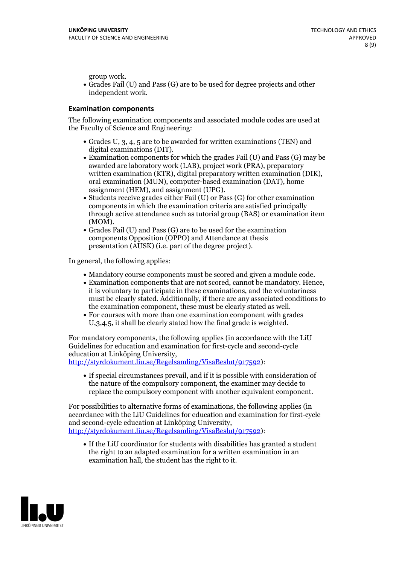group work.<br>• Grades Fail (U) and Pass (G) are to be used for degree projects and other independent work.

#### **Examination components**

The following examination components and associated module codes are used at the Faculty of Science and Engineering:

- Grades U, 3, 4, 5 are to be awarded for written examinations (TEN) and
- digital examinations (DIT).<br>• Examination components for which the grades Fail (U) and Pass (G) may be awarded are laboratory work (LAB), project work (PRA), preparatory written examination (KTR), digital preparatory written examination (DIK), oral examination (MUN), computer-based examination (DAT), home
- assignment (HEM), and assignment (UPG).<br>• Students receive grades either Fail (U) or Pass (G) for other examination components in which the examination criteria are satisfied principally through active attendance such as tutorial group (BAS) or examination item
- (MOM).<br>• Grades Fail (U) and Pass (G) are to be used for the examination components Opposition (OPPO) and Attendance at thesis presentation (AUSK) (i.e. part of the degree project).

In general, the following applies:

- 
- Mandatory course components must be scored and given <sup>a</sup> module code. Examination components that are not scored, cannot be mandatory. Hence, it is voluntary to participate in these examinations, and the voluntariness must be clearly stated. Additionally, if there are any associated conditions to
- the examination component, these must be clearly stated as well.<br>• For courses with more than one examination component with grades U,3,4,5, it shall be clearly stated how the final grade is weighted.

For mandatory components, the following applies (in accordance with the LiU Guidelines for education and examination for first-cycle and second-cycle education at Linköping University,<br>[http://styrdokument.liu.se/Regelsamling/VisaBeslut/917592\)](http://styrdokument.liu.se/Regelsamling/VisaBeslut/917592):

If special circumstances prevail, and if it is possible with consideration of the nature of the compulsory component, the examiner may decide to replace the compulsory component with another equivalent component.

For possibilities to alternative forms of examinations, the following applies (in accordance with the LiU Guidelines for education and examination for first-cycle [http://styrdokument.liu.se/Regelsamling/VisaBeslut/917592\)](http://styrdokument.liu.se/Regelsamling/VisaBeslut/917592):

If the LiU coordinator for students with disabilities has granted a student the right to an adapted examination for a written examination in an examination hall, the student has the right to it.